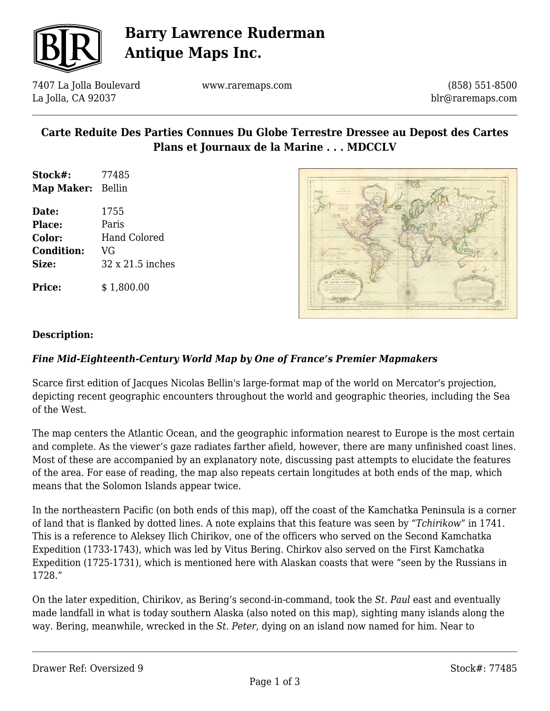

## **Barry Lawrence Ruderman Antique Maps Inc.**

7407 La Jolla Boulevard La Jolla, CA 92037

www.raremaps.com

(858) 551-8500 blr@raremaps.com

### **Carte Reduite Des Parties Connues Du Globe Terrestre Dressee au Depost des Cartes Plans et Journaux de la Marine . . . MDCCLV**

- **Stock#:** 77485 **Map Maker:** Bellin
- **Date:** 1755 **Place:** Paris **Color:** Hand Colored **Condition:** VG **Size:** 32 x 21.5 inches

**Price:**  $$ 1,800.00$ 



#### **Description:**

#### *Fine Mid-Eighteenth-Century World Map by One of France's Premier Mapmakers*

Scarce first edition of Jacques Nicolas Bellin's large-format map of the world on Mercator's projection, depicting recent geographic encounters throughout the world and geographic theories, including the Sea of the West.

The map centers the Atlantic Ocean, and the geographic information nearest to Europe is the most certain and complete. As the viewer's gaze radiates farther afield, however, there are many unfinished coast lines. Most of these are accompanied by an explanatory note, discussing past attempts to elucidate the features of the area. For ease of reading, the map also repeats certain longitudes at both ends of the map, which means that the Solomon Islands appear twice.

In the northeastern Pacific (on both ends of this map), off the coast of the Kamchatka Peninsula is a corner of land that is flanked by dotted lines. A note explains that this feature was seen by "*Tchirikow*" in 1741. This is a reference to Aleksey Ilich Chirikov, one of the officers who served on the Second Kamchatka Expedition (1733-1743), which was led by Vitus Bering. Chirkov also served on the First Kamchatka Expedition (1725-1731), which is mentioned here with Alaskan coasts that were "seen by the Russians in 1728."

On the later expedition, Chirikov, as Bering's second-in-command, took the *St. Paul* east and eventually made landfall in what is today southern Alaska (also noted on this map), sighting many islands along the way. Bering, meanwhile, wrecked in the *St. Peter*, dying on an island now named for him. Near to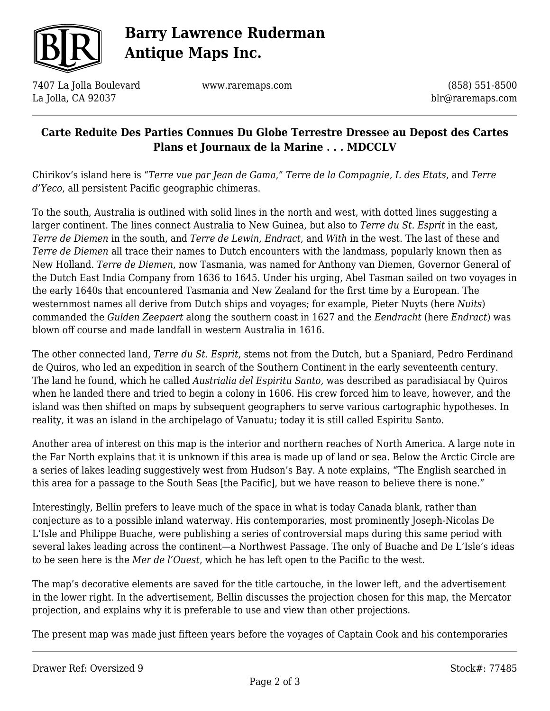

# **Barry Lawrence Ruderman Antique Maps Inc.**

7407 La Jolla Boulevard La Jolla, CA 92037

www.raremaps.com

(858) 551-8500 blr@raremaps.com

### **Carte Reduite Des Parties Connues Du Globe Terrestre Dressee au Depost des Cartes Plans et Journaux de la Marine . . . MDCCLV**

Chirikov's island here is "*Terre vue par Jean de Gama*," *Terre de la Compagnie, I. des Etats*, and *Terre d'Yeco*, all persistent Pacific geographic chimeras.

To the south, Australia is outlined with solid lines in the north and west, with dotted lines suggesting a larger continent. The lines connect Australia to New Guinea, but also to *Terre du St. Esprit* in the east, *Terre de Diemen* in the south, and *Terre de Lewin, Endract*, and *With* in the west. The last of these and *Terre de Diemen* all trace their names to Dutch encounters with the landmass, popularly known then as New Holland. *Terre de Diemen*, now Tasmania, was named for Anthony van Diemen, Governor General of the Dutch East India Company from 1636 to 1645. Under his urging, Abel Tasman sailed on two voyages in the early 1640s that encountered Tasmania and New Zealand for the first time by a European. The westernmost names all derive from Dutch ships and voyages; for example, Pieter Nuyts (here *Nuits*) commanded the *Gulden Zeepaert* along the southern coast in 1627 and the *Eendracht* (here *Endract*) was blown off course and made landfall in western Australia in 1616.

The other connected land, *Terre du St. Esprit*, stems not from the Dutch, but a Spaniard, Pedro Ferdinand de Quiros, who led an expedition in search of the Southern Continent in the early seventeenth century. The land he found, which he called *Austrialia del Espiritu Santo,* was described as paradisiacal by Quiros when he landed there and tried to begin a colony in 1606. His crew forced him to leave, however, and the island was then shifted on maps by subsequent geographers to serve various cartographic hypotheses. In reality, it was an island in the archipelago of Vanuatu; today it is still called Espiritu Santo.

Another area of interest on this map is the interior and northern reaches of North America. A large note in the Far North explains that it is unknown if this area is made up of land or sea. Below the Arctic Circle are a series of lakes leading suggestively west from Hudson's Bay. A note explains, "The English searched in this area for a passage to the South Seas [the Pacific], but we have reason to believe there is none."

Interestingly, Bellin prefers to leave much of the space in what is today Canada blank, rather than conjecture as to a possible inland waterway. His contemporaries, most prominently Joseph-Nicolas De L'Isle and Philippe Buache, were publishing a series of controversial maps during this same period with several lakes leading across the continent—a Northwest Passage. The only of Buache and De L'Isle's ideas to be seen here is the *Mer de l'Ouest*, which he has left open to the Pacific to the west.

The map's decorative elements are saved for the title cartouche, in the lower left, and the advertisement in the lower right. In the advertisement, Bellin discusses the projection chosen for this map, the Mercator projection, and explains why it is preferable to use and view than other projections.

The present map was made just fifteen years before the voyages of Captain Cook and his contemporaries